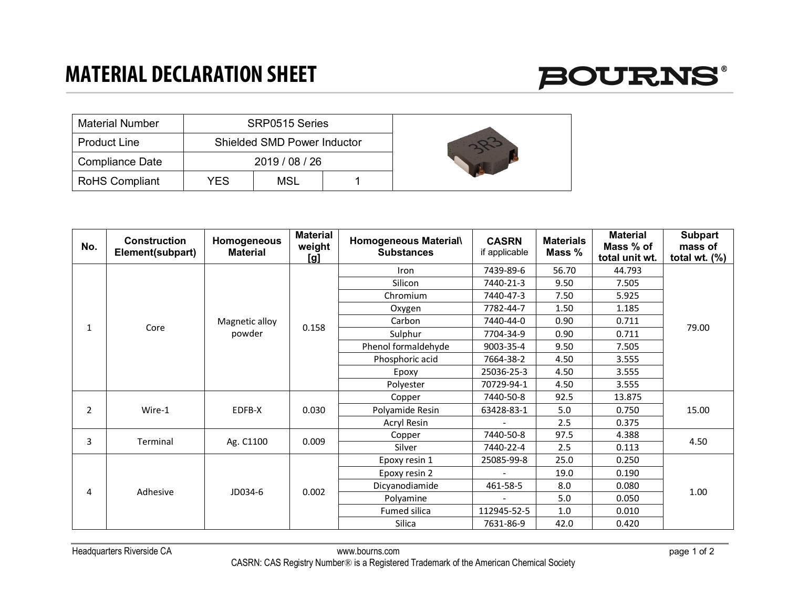## **MATERIAL DECLARATION SHEET**



| <b>Material Number</b> |     | SRP0515 Series                     |  |  |
|------------------------|-----|------------------------------------|--|--|
| <b>Product Line</b>    |     | <b>Shielded SMD Power Inductor</b> |  |  |
| <b>Compliance Date</b> |     | 2019 / 08 / 26                     |  |  |
| <b>RoHS Compliant</b>  | YES | MSL                                |  |  |

| No.            | <b>Construction</b><br>Element(subpart) | Homogeneous<br><b>Material</b> | <b>Material</b><br>weight<br>[g] | Homogeneous Material\<br><b>Substances</b> | <b>CASRN</b><br>if applicable | <b>Materials</b><br>Mass % | <b>Material</b><br>Mass % of<br>total unit wt. | <b>Subpart</b><br>mass of<br>total wt. $(\%)$ |
|----------------|-----------------------------------------|--------------------------------|----------------------------------|--------------------------------------------|-------------------------------|----------------------------|------------------------------------------------|-----------------------------------------------|
| Core<br>1      |                                         | Magnetic alloy<br>powder       | 0.158                            | Iron                                       | 7439-89-6                     | 56.70                      | 44.793                                         | 79.00                                         |
|                |                                         |                                |                                  | Silicon                                    | 7440-21-3                     | 9.50                       | 7.505                                          |                                               |
|                |                                         |                                |                                  | Chromium                                   | 7440-47-3                     | 7.50                       | 5.925                                          |                                               |
|                |                                         |                                |                                  | Oxygen                                     | 7782-44-7                     | 1.50                       | 1.185                                          |                                               |
|                |                                         |                                |                                  | Carbon                                     | 7440-44-0                     | 0.90                       | 0.711                                          |                                               |
|                |                                         |                                |                                  | Sulphur                                    | 7704-34-9                     | 0.90                       | 0.711                                          |                                               |
|                |                                         |                                |                                  | Phenol formaldehyde                        | 9003-35-4                     | 9.50                       | 7.505                                          |                                               |
|                |                                         |                                |                                  | Phosphoric acid                            | 7664-38-2                     | 4.50                       | 3.555                                          |                                               |
|                |                                         |                                |                                  | Epoxy                                      | 25036-25-3                    | 4.50                       | 3.555                                          |                                               |
|                |                                         |                                |                                  | Polyester                                  | 70729-94-1                    | 4.50                       | 3.555                                          |                                               |
|                | Wire-1                                  | EDFB-X                         | 0.030                            | Copper                                     | 7440-50-8                     | 92.5                       | 13.875                                         | 15.00                                         |
| $\overline{2}$ |                                         |                                |                                  | Polyamide Resin                            | 63428-83-1                    | 5.0                        | 0.750                                          |                                               |
|                |                                         |                                |                                  | Acryl Resin                                |                               | 2.5                        | 0.375                                          |                                               |
| 3              | Terminal                                | Ag. C1100                      | 0.009                            | Copper                                     | 7440-50-8                     | 97.5                       | 4.388                                          | 4.50                                          |
|                |                                         |                                |                                  | Silver                                     | 7440-22-4                     | 2.5                        | 0.113                                          |                                               |
|                | Adhesive                                | JD034-6                        | 0.002                            | Epoxy resin 1                              | 25085-99-8                    | 25.0                       | 0.250                                          | 1.00                                          |
| 4              |                                         |                                |                                  | Epoxy resin 2                              |                               | 19.0                       | 0.190                                          |                                               |
|                |                                         |                                |                                  | Dicyanodiamide                             | 461-58-5                      | 8.0                        | 0.080                                          |                                               |
|                |                                         |                                |                                  | Polyamine                                  | $\overline{\phantom{0}}$      | 5.0                        | 0.050                                          |                                               |
|                |                                         |                                |                                  | Fumed silica                               | 112945-52-5                   | 1.0                        | 0.010                                          |                                               |
|                |                                         |                                |                                  | Silica                                     | 7631-86-9                     | 42.0                       | 0.420                                          |                                               |